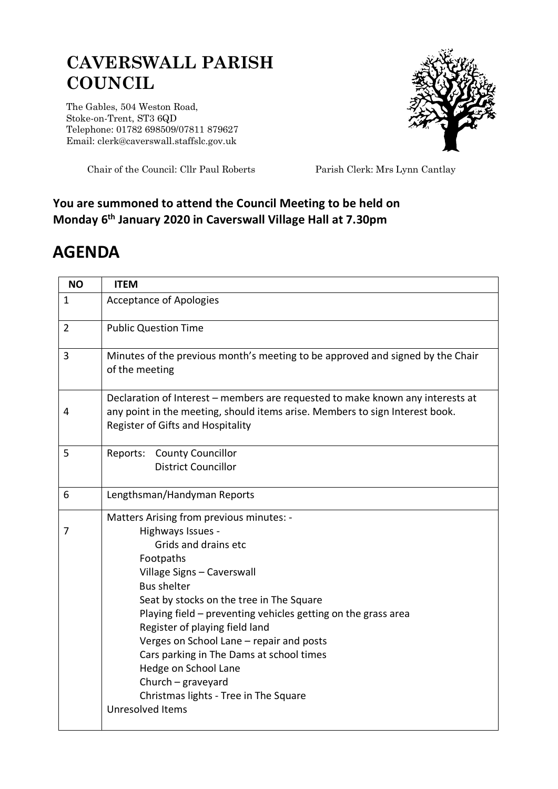## **CAVERSWALL PARISH COUNCIL**

The Gables, 504 Weston Road, Stoke-on-Trent, ST3 6QD Telephone: 01782 698509/07811 879627 Email: clerk@caverswall.staffslc.gov.uk



Chair of the Council: Cllr Paul Roberts Parish Clerk: Mrs Lynn Cantlay

## **You are summoned to attend the Council Meeting to be held on Monday 6 th January 2020 in Caverswall Village Hall at 7.30pm**

## **AGENDA**

| <b>NO</b>      | <b>ITEM</b>                                                                                                                                                                                         |
|----------------|-----------------------------------------------------------------------------------------------------------------------------------------------------------------------------------------------------|
| $\mathbf{1}$   | <b>Acceptance of Apologies</b>                                                                                                                                                                      |
| $\overline{2}$ | <b>Public Question Time</b>                                                                                                                                                                         |
| 3              | Minutes of the previous month's meeting to be approved and signed by the Chair<br>of the meeting                                                                                                    |
| 4              | Declaration of Interest - members are requested to make known any interests at<br>any point in the meeting, should items arise. Members to sign Interest book.<br>Register of Gifts and Hospitality |
| 5              | Reports: County Councillor<br><b>District Councillor</b>                                                                                                                                            |
| 6              | Lengthsman/Handyman Reports                                                                                                                                                                         |
|                | Matters Arising from previous minutes: -                                                                                                                                                            |
| 7              | Highways Issues -                                                                                                                                                                                   |
|                | Grids and drains etc                                                                                                                                                                                |
|                | Footpaths                                                                                                                                                                                           |
|                | Village Signs - Caverswall                                                                                                                                                                          |
|                | <b>Bus shelter</b><br>Seat by stocks on the tree in The Square                                                                                                                                      |
|                | Playing field - preventing vehicles getting on the grass area                                                                                                                                       |
|                | Register of playing field land                                                                                                                                                                      |
|                | Verges on School Lane - repair and posts                                                                                                                                                            |
|                | Cars parking in The Dams at school times                                                                                                                                                            |
|                | Hedge on School Lane                                                                                                                                                                                |
|                | Church $-$ graveyard                                                                                                                                                                                |
|                | Christmas lights - Tree in The Square                                                                                                                                                               |
|                | Unresolved Items                                                                                                                                                                                    |